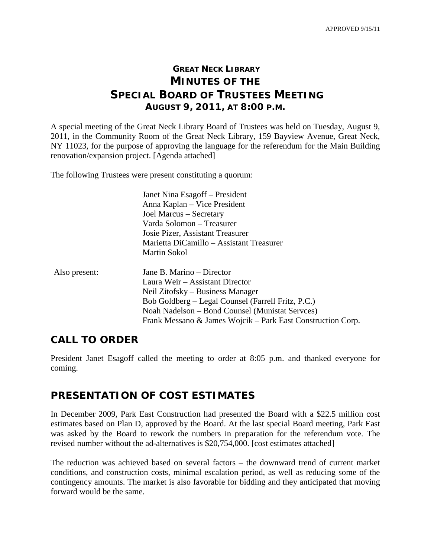## **GREAT NECK LIBRARY MINUTES OF THE SPECIAL BOARD OF TRUSTEES MEETING AUGUST 9, 2011, AT 8:00 P.M.**

A special meeting of the Great Neck Library Board of Trustees was held on Tuesday, August 9, 2011, in the Community Room of the Great Neck Library, 159 Bayview Avenue, Great Neck, NY 11023, for the purpose of approving the language for the referendum for the Main Building renovation/expansion project. [Agenda attached]

The following Trustees were present constituting a quorum:

| Janet Nina Esagoff – President           |
|------------------------------------------|
| Anna Kaplan – Vice President             |
| Joel Marcus - Secretary                  |
| Varda Solomon – Treasurer                |
| Josie Pizer, Assistant Treasurer         |
| Marietta DiCamillo - Assistant Treasurer |
| <b>Martin Sokol</b>                      |

| Also present: | Jane B. Marino – Director                                   |
|---------------|-------------------------------------------------------------|
|               | Laura Weir – Assistant Director                             |
|               | Neil Zitofsky – Business Manager                            |
|               | Bob Goldberg – Legal Counsel (Farrell Fritz, P.C.)          |
|               | Noah Nadelson – Bond Counsel (Munistat Servees)             |
|               | Frank Messano & James Wojcik – Park East Construction Corp. |

## **CALL TO ORDER**

President Janet Esagoff called the meeting to order at 8:05 p.m. and thanked everyone for coming.

## **PRESENTATION OF COST ESTIMATES**

In December 2009, Park East Construction had presented the Board with a \$22.5 million cost estimates based on Plan D, approved by the Board. At the last special Board meeting, Park East was asked by the Board to rework the numbers in preparation for the referendum vote. The revised number without the ad-alternatives is \$20,754,000. [cost estimates attached]

The reduction was achieved based on several factors – the downward trend of current market conditions, and construction costs, minimal escalation period, as well as reducing some of the contingency amounts. The market is also favorable for bidding and they anticipated that moving forward would be the same.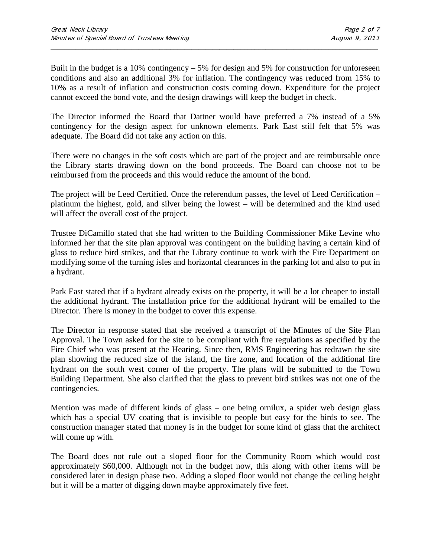Built in the budget is a 10% contingency  $-5\%$  for design and 5% for construction for unforeseen conditions and also an additional 3% for inflation. The contingency was reduced from 15% to 10% as a result of inflation and construction costs coming down. Expenditure for the project cannot exceed the bond vote, and the design drawings will keep the budget in check.

\_\_\_\_\_\_\_\_\_\_\_\_\_\_\_\_\_\_\_\_\_\_\_\_\_\_\_\_\_\_\_\_\_\_\_\_\_\_\_\_\_\_\_\_\_\_\_\_\_\_\_\_\_\_\_\_\_\_\_\_\_\_\_\_\_\_\_\_\_\_\_\_\_\_\_\_\_\_\_\_\_\_\_\_\_\_\_\_\_\_\_\_\_

The Director informed the Board that Dattner would have preferred a 7% instead of a 5% contingency for the design aspect for unknown elements. Park East still felt that 5% was adequate. The Board did not take any action on this.

There were no changes in the soft costs which are part of the project and are reimbursable once the Library starts drawing down on the bond proceeds. The Board can choose not to be reimbursed from the proceeds and this would reduce the amount of the bond.

The project will be Leed Certified. Once the referendum passes, the level of Leed Certification – platinum the highest, gold, and silver being the lowest – will be determined and the kind used will affect the overall cost of the project.

Trustee DiCamillo stated that she had written to the Building Commissioner Mike Levine who informed her that the site plan approval was contingent on the building having a certain kind of glass to reduce bird strikes, and that the Library continue to work with the Fire Department on modifying some of the turning isles and horizontal clearances in the parking lot and also to put in a hydrant.

Park East stated that if a hydrant already exists on the property, it will be a lot cheaper to install the additional hydrant. The installation price for the additional hydrant will be emailed to the Director. There is money in the budget to cover this expense.

The Director in response stated that she received a transcript of the Minutes of the Site Plan Approval. The Town asked for the site to be compliant with fire regulations as specified by the Fire Chief who was present at the Hearing. Since then, RMS Engineering has redrawn the site plan showing the reduced size of the island, the fire zone, and location of the additional fire hydrant on the south west corner of the property. The plans will be submitted to the Town Building Department. She also clarified that the glass to prevent bird strikes was not one of the contingencies.

Mention was made of different kinds of glass – one being ornilux, a spider web design glass which has a special UV coating that is invisible to people but easy for the birds to see. The construction manager stated that money is in the budget for some kind of glass that the architect will come up with.

The Board does not rule out a sloped floor for the Community Room which would cost approximately \$60,000. Although not in the budget now, this along with other items will be considered later in design phase two. Adding a sloped floor would not change the ceiling height but it will be a matter of digging down maybe approximately five feet.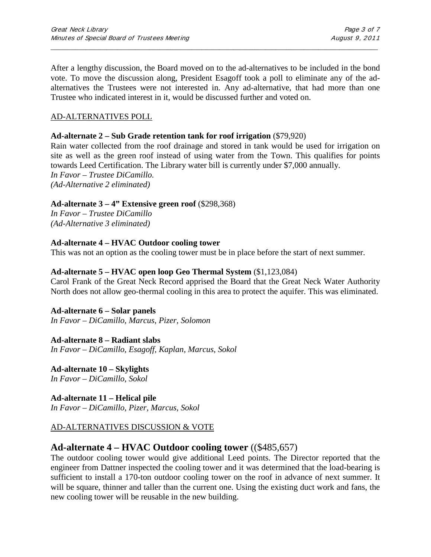After a lengthy discussion, the Board moved on to the ad-alternatives to be included in the bond vote. To move the discussion along, President Esagoff took a poll to eliminate any of the adalternatives the Trustees were not interested in. Any ad-alternative, that had more than one Trustee who indicated interest in it, would be discussed further and voted on.

\_\_\_\_\_\_\_\_\_\_\_\_\_\_\_\_\_\_\_\_\_\_\_\_\_\_\_\_\_\_\_\_\_\_\_\_\_\_\_\_\_\_\_\_\_\_\_\_\_\_\_\_\_\_\_\_\_\_\_\_\_\_\_\_\_\_\_\_\_\_\_\_\_\_\_\_\_\_\_\_\_\_\_\_\_\_\_\_\_\_\_\_\_

#### AD-ALTERNATIVES POLL

#### **Ad-alternate 2 – Sub Grade retention tank for roof irrigation** (\$79,920)

Rain water collected from the roof drainage and stored in tank would be used for irrigation on site as well as the green roof instead of using water from the Town. This qualifies for points towards Leed Certification. The Library water bill is currently under \$7,000 annually. *In Favor – Trustee DiCamillo. (Ad-Alternative 2 eliminated)*

#### **Ad-alternate 3 – 4" Extensive green roof** (\$298,368)

*In Favor – Trustee DiCamillo (Ad-Alternative 3 eliminated)*

#### **Ad-alternate 4 – HVAC Outdoor cooling tower**

This was not an option as the cooling tower must be in place before the start of next summer.

#### **Ad-alternate 5 – HVAC open loop Geo Thermal System** (\$1,123,084)

Carol Frank of the Great Neck Record apprised the Board that the Great Neck Water Authority North does not allow geo-thermal cooling in this area to protect the aquifer. This was eliminated.

#### **Ad-alternate 6 – Solar panels**

*In Favor – DiCamillo, Marcus, Pizer, Solomon*

#### **Ad-alternate 8 – Radiant slabs** *In Favor – DiCamillo, Esagoff, Kaplan, Marcus, Sokol*

**Ad-alternate 10 – Skylights** *In Favor – DiCamillo, Sokol* 

**Ad-alternate 11 – Helical pile** *In Favor – DiCamillo, Pizer, Marcus, Sokol* 

#### AD-ALTERNATIVES DISCUSSION & VOTE

## **Ad-alternate 4 – HVAC Outdoor cooling tower** ((\$485,657)

The outdoor cooling tower would give additional Leed points. The Director reported that the engineer from Dattner inspected the cooling tower and it was determined that the load-bearing is sufficient to install a 170-ton outdoor cooling tower on the roof in advance of next summer. It will be square, thinner and taller than the current one. Using the existing duct work and fans, the new cooling tower will be reusable in the new building.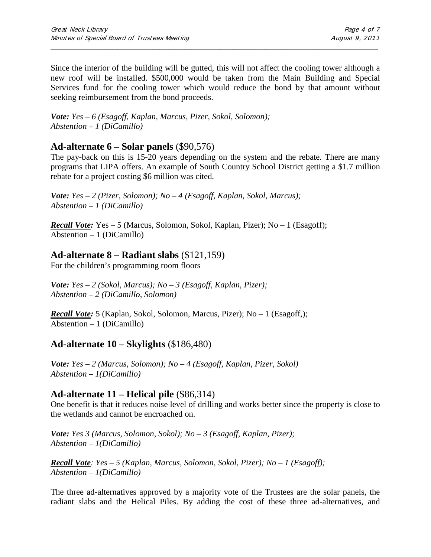Since the interior of the building will be gutted, this will not affect the cooling tower although a new roof will be installed. \$500,000 would be taken from the Main Building and Special Services fund for the cooling tower which would reduce the bond by that amount without seeking reimbursement from the bond proceeds.

\_\_\_\_\_\_\_\_\_\_\_\_\_\_\_\_\_\_\_\_\_\_\_\_\_\_\_\_\_\_\_\_\_\_\_\_\_\_\_\_\_\_\_\_\_\_\_\_\_\_\_\_\_\_\_\_\_\_\_\_\_\_\_\_\_\_\_\_\_\_\_\_\_\_\_\_\_\_\_\_\_\_\_\_\_\_\_\_\_\_\_\_\_

*Vote: Yes – 6 (Esagoff, Kaplan, Marcus, Pizer, Sokol, Solomon); Abstention – 1 (DiCamillo)*

## **Ad-alternate 6 – Solar panels** (\$90,576)

The pay-back on this is 15-20 years depending on the system and the rebate. There are many programs that LIPA offers. An example of South Country School District getting a \$1.7 million rebate for a project costing \$6 million was cited.

*Vote: Yes – 2 (Pizer, Solomon); No – 4 (Esagoff, Kaplan, Sokol, Marcus); Abstention – 1 (DiCamillo)*

*Recall Vote:* Yes – 5 (Marcus, Solomon, Sokol, Kaplan, Pizer); No – 1 (Esagoff); Abstention – 1 (DiCamillo)

### **Ad-alternate 8 – Radiant slabs** (\$121,159)

For the children's programming room floors

*Vote: Yes – 2 (Sokol, Marcus); No – 3 (Esagoff, Kaplan, Pizer); Abstention – 2 (DiCamillo, Solomon)*

*Recall Vote:* 5 (Kaplan, Sokol, Solomon, Marcus, Pizer); No – 1 (Esagoff,); Abstention – 1 (DiCamillo)

## **Ad-alternate 10 – Skylights** (\$186,480)

*Vote: Yes – 2 (Marcus, Solomon); No – 4 (Esagoff, Kaplan, Pizer, Sokol) Abstention – 1(DiCamillo)*

## **Ad-alternate 11 – Helical pile** (\$86,314)

One benefit is that it reduces noise level of drilling and works better since the property is close to the wetlands and cannot be encroached on.

*Vote: Yes 3 (Marcus, Solomon, Sokol); No – 3 (Esagoff, Kaplan, Pizer); Abstention – 1(DiCamillo)*

*Recall Vote: Yes – 5 (Kaplan, Marcus, Solomon, Sokol, Pizer); No – 1 (Esagoff); Abstention – 1(DiCamillo)*

The three ad-alternatives approved by a majority vote of the Trustees are the solar panels, the radiant slabs and the Helical Piles. By adding the cost of these three ad-alternatives, and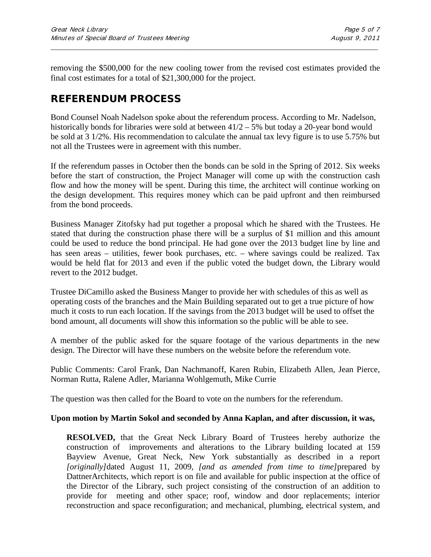removing the \$500,000 for the new cooling tower from the revised cost estimates provided the final cost estimates for a total of \$21,300,000 for the project.

\_\_\_\_\_\_\_\_\_\_\_\_\_\_\_\_\_\_\_\_\_\_\_\_\_\_\_\_\_\_\_\_\_\_\_\_\_\_\_\_\_\_\_\_\_\_\_\_\_\_\_\_\_\_\_\_\_\_\_\_\_\_\_\_\_\_\_\_\_\_\_\_\_\_\_\_\_\_\_\_\_\_\_\_\_\_\_\_\_\_\_\_\_

## **REFERENDUM PROCESS**

Bond Counsel Noah Nadelson spoke about the referendum process. According to Mr. Nadelson, historically bonds for libraries were sold at between  $41/2 - 5$ % but today a 20-year bond would be sold at 3 1/2%. His recommendation to calculate the annual tax levy figure is to use 5.75% but not all the Trustees were in agreement with this number.

If the referendum passes in October then the bonds can be sold in the Spring of 2012. Six weeks before the start of construction, the Project Manager will come up with the construction cash flow and how the money will be spent. During this time, the architect will continue working on the design development. This requires money which can be paid upfront and then reimbursed from the bond proceeds.

Business Manager Zitofsky had put together a proposal which he shared with the Trustees. He stated that during the construction phase there will be a surplus of \$1 million and this amount could be used to reduce the bond principal. He had gone over the 2013 budget line by line and has seen areas – utilities, fewer book purchases, etc. – where savings could be realized. Tax would be held flat for 2013 and even if the public voted the budget down, the Library would revert to the 2012 budget.

Trustee DiCamillo asked the Business Manger to provide her with schedules of this as well as operating costs of the branches and the Main Building separated out to get a true picture of how much it costs to run each location. If the savings from the 2013 budget will be used to offset the bond amount, all documents will show this information so the public will be able to see.

A member of the public asked for the square footage of the various departments in the new design. The Director will have these numbers on the website before the referendum vote.

Public Comments: Carol Frank, Dan Nachmanoff, Karen Rubin, Elizabeth Allen, Jean Pierce, Norman Rutta, Ralene Adler, Marianna Wohlgemuth, Mike Currie

The question was then called for the Board to vote on the numbers for the referendum.

#### **Upon motion by Martin Sokol and seconded by Anna Kaplan, and after discussion, it was,**

**RESOLVED,** that the Great Neck Library Board of Trustees hereby authorize the construction of improvements and alterations to the Library building located at 159 Bayview Avenue, Great Neck, New York substantially as described in a report *[originally]*dated August 11, 2009, *[and as amended from time to time]*prepared by DattnerArchitects, which report is on file and available for public inspection at the office of the Director of the Library, such project consisting of the construction of an addition to provide for meeting and other space; roof, window and door replacements; interior reconstruction and space reconfiguration; and mechanical, plumbing, electrical system, and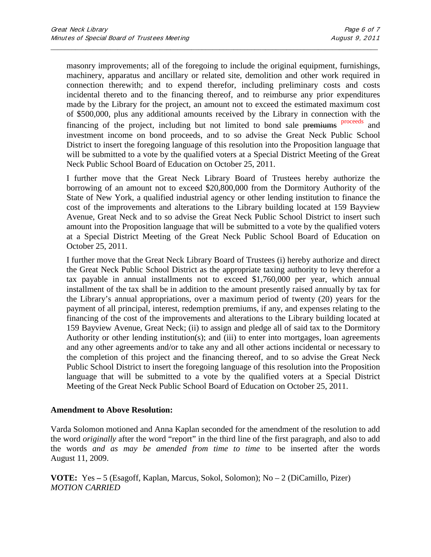masonry improvements; all of the foregoing to include the original equipment, furnishings, machinery, apparatus and ancillary or related site, demolition and other work required in connection therewith; and to expend therefor, including preliminary costs and costs incidental thereto and to the financing thereof, and to reimburse any prior expenditures made by the Library for the project, an amount not to exceed the estimated maximum cost of \$500,000, plus any additional amounts received by the Library in connection with the financing of the project, including but not limited to bond sale premiums proceeds and investment income on bond proceeds, and to so advise the Great Neck Public School District to insert the foregoing language of this resolution into the Proposition language that will be submitted to a vote by the qualified voters at a Special District Meeting of the Great Neck Public School Board of Education on October 25, 2011.

\_\_\_\_\_\_\_\_\_\_\_\_\_\_\_\_\_\_\_\_\_\_\_\_\_\_\_\_\_\_\_\_\_\_\_\_\_\_\_\_\_\_\_\_\_\_\_\_\_\_\_\_\_\_\_\_\_\_\_\_\_\_\_\_\_\_\_\_\_\_\_\_\_\_\_\_\_\_\_\_\_\_\_\_\_\_\_\_\_\_\_\_\_

I further move that the Great Neck Library Board of Trustees hereby authorize the borrowing of an amount not to exceed \$20,800,000 from the Dormitory Authority of the State of New York, a qualified industrial agency or other lending institution to finance the cost of the improvements and alterations to the Library building located at 159 Bayview Avenue, Great Neck and to so advise the Great Neck Public School District to insert such amount into the Proposition language that will be submitted to a vote by the qualified voters at a Special District Meeting of the Great Neck Public School Board of Education on October 25, 2011.

I further move that the Great Neck Library Board of Trustees (i) hereby authorize and direct the Great Neck Public School District as the appropriate taxing authority to levy therefor a tax payable in annual installments not to exceed \$1,760,000 per year, which annual installment of the tax shall be in addition to the amount presently raised annually by tax for the Library's annual appropriations, over a maximum period of twenty (20) years for the payment of all principal, interest, redemption premiums, if any, and expenses relating to the financing of the cost of the improvements and alterations to the Library building located at 159 Bayview Avenue, Great Neck; (ii) to assign and pledge all of said tax to the Dormitory Authority or other lending institution(s); and (iii) to enter into mortgages, loan agreements and any other agreements and/or to take any and all other actions incidental or necessary to the completion of this project and the financing thereof, and to so advise the Great Neck Public School District to insert the foregoing language of this resolution into the Proposition language that will be submitted to a vote by the qualified voters at a Special District Meeting of the Great Neck Public School Board of Education on October 25, 2011.

#### **Amendment to Above Resolution:**

Varda Solomon motioned and Anna Kaplan seconded for the amendment of the resolution to add the word *originally* after the word "report" in the third line of the first paragraph, and also to add the words *and as may be amended from time to time* to be inserted after the words August 11, 2009.

**VOTE:** Yes **–** 5 (Esagoff, Kaplan, Marcus, Sokol, Solomon); No – 2 (DiCamillo, Pizer) *MOTION CARRIED*